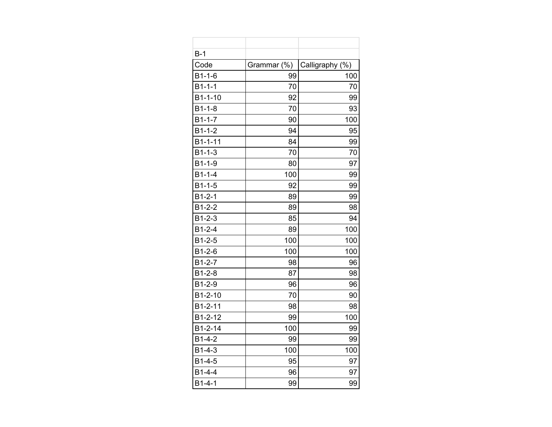| $B-1$         |             |                 |
|---------------|-------------|-----------------|
| Code          | Grammar (%) | Calligraphy (%) |
| $B1 - 1 - 6$  | 99          | 100             |
| $B1 - 1 - 1$  | 70          | 70              |
| $B1 - 1 - 10$ | 92          | 99              |
| $B1 - 1 - 8$  | 70          | 93              |
| $B1 - 1 - 7$  | 90          | 100             |
| $B1 - 1 - 2$  | 94          | 95              |
| B1-1-11       | 84          | 99              |
| $B1 - 1 - 3$  | 70          | 70              |
| B1-1-9        | 80          | 97              |
| $B1 - 1 - 4$  | 100         | 99              |
| $B1 - 1 - 5$  | 92          | 99              |
| $B1 - 2 - 1$  | 89          | 99              |
| $B1-2-2$      | 89          | 98              |
| $B1 - 2 - 3$  | 85          | 94              |
| $B1 - 2 - 4$  | 89          | 100             |
| $B1 - 2 - 5$  | 100         | 100             |
| $B1 - 2 - 6$  | 100         | 100             |
| $B1-2-7$      | 98          | 96              |
| $B1-2-8$      | 87          | 98              |
| B1-2-9        | 96          | 96              |
| B1-2-10       | 70          | 90              |
| B1-2-11       | 98          | 98              |
| B1-2-12       | 99          | 100             |
| $B1 - 2 - 14$ | 100         | 99              |
| $B1 - 4 - 2$  | 99          | 99              |
| $B1 - 4 - 3$  | 100         | 100             |
| $B1 - 4 - 5$  | 95          | 97              |
| $B1 - 4 - 4$  | 96          | 97              |
| $B1 - 4 - 1$  | 99          | 99              |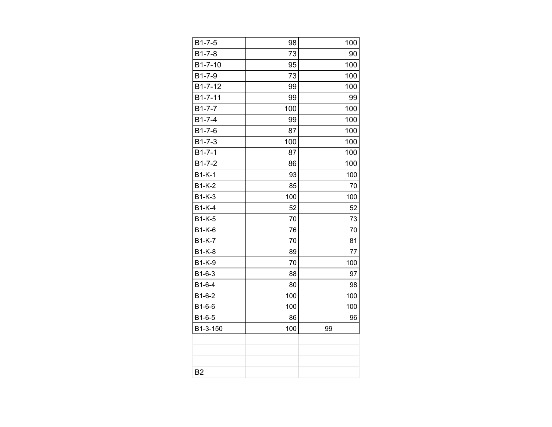| $B1 - 7 - 5$  | 98  | 100 |
|---------------|-----|-----|
| $B1 - 7 - 8$  | 73  | 90  |
| B1-7-10       | 95  | 100 |
| B1-7-9        | 73  | 100 |
| B1-7-12       | 99  | 100 |
| B1-7-11       | 99  | 99  |
| $B1 - 7 - 7$  | 100 | 100 |
| $B1 - 7 - 4$  | 99  | 100 |
| $B1 - 7 - 6$  | 87  | 100 |
| $B1 - 7 - 3$  | 100 | 100 |
| $B1 - 7 - 1$  | 87  | 100 |
| $B1 - 7 - 2$  | 86  | 100 |
| $B1-K-1$      | 93  | 100 |
| $B1-K-2$      | 85  | 70  |
| <b>B1-K-3</b> | 100 | 100 |
| $B1-K-4$      | 52  | 52  |
| $B1-K-5$      | 70  | 73  |
| $B1-K-6$      | 76  | 70  |
| <b>B1-K-7</b> | 70  | 81  |
| <b>B1-K-8</b> | 89  | 77  |
| <b>B1-K-9</b> | 70  | 100 |
| $B1-6-3$      | 88  | 97  |
| B1-6-4        | 80  | 98  |
| B1-6-2        | 100 | 100 |
| B1-6-6        | 100 | 100 |
| B1-6-5        | 86  | 96  |
| B1-3-150      | 100 | 99  |
|               |     |     |
|               |     |     |
|               |     |     |
| <b>B2</b>     |     |     |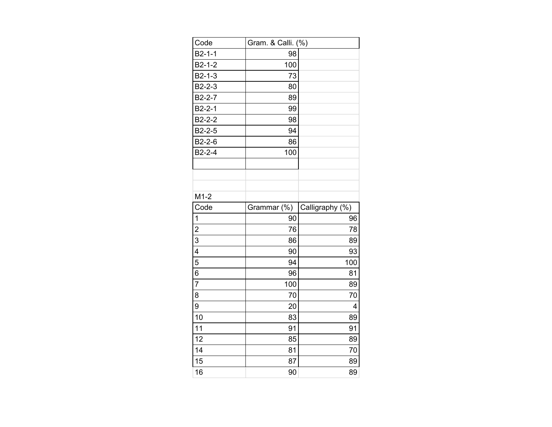| Code                    | Gram. & Calli. (%) |                 |
|-------------------------|--------------------|-----------------|
| $B2-1-1$                | 98                 |                 |
| $B2-1-2$                | 100                |                 |
| $B2-1-3$                | 73                 |                 |
| $B2-2-3$                | 80                 |                 |
| $B2-2-7$                | 89                 |                 |
| $B2-2-1$                | 99                 |                 |
| $B2-2-2$                | 98                 |                 |
| $B2-2-5$                | 94                 |                 |
| B2-2-6                  | 86                 |                 |
| $B2-2-4$                | 100                |                 |
|                         |                    |                 |
|                         |                    |                 |
|                         |                    |                 |
| $M1-2$                  |                    |                 |
| Code                    | Grammar (%)        | Calligraphy (%) |
| 1                       | 90                 | 96              |
| $\overline{\mathbf{c}}$ | 76                 | 78              |
| $\overline{3}$          | 86                 | 89              |
| $\overline{4}$          | 90                 | 93              |
| 5                       | 94                 | 100             |
| $\overline{6}$          | 96                 | 81              |
| $\overline{7}$          | 100                | 89              |
| 8                       | 70                 | 70              |
| 9                       | 20                 | 4               |
| 10                      | 83                 | 89              |
| 11                      | 91                 | 91              |
| 12                      | 85                 | 89              |
| 14                      | 81                 | 70              |
| 15                      | 87                 | 89              |
| 16                      | 90                 | 89              |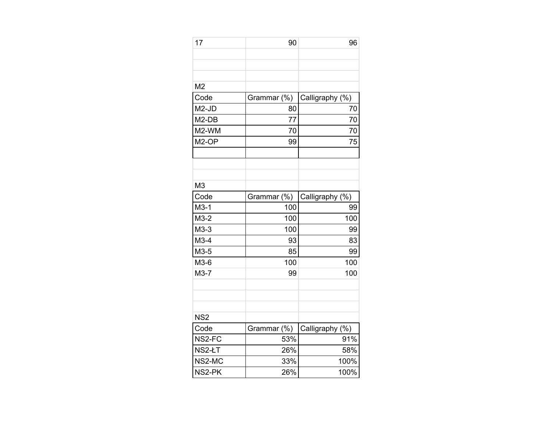| 17              | 90          | 96              |
|-----------------|-------------|-----------------|
|                 |             |                 |
|                 |             |                 |
|                 |             |                 |
| M <sub>2</sub>  |             |                 |
| Code            | Grammar (%) | Calligraphy (%) |
| M2-JD           | 80          | 70              |
| M2-DB           | 77          | 70              |
| M2-WM           | 70          | 70              |
| M2-OP           | 99          | 75              |
|                 |             |                 |
|                 |             |                 |
|                 |             |                 |
| M <sub>3</sub>  |             |                 |
| Code            | Grammar (%) | Calligraphy (%) |
| $M3-1$          | 100         | 99              |
| $M3-2$          | 100         | 100             |
| $M3-3$          | 100         | 99              |
| $M3-4$          | 93          | 83              |
| M3-5            | 85          | 99              |
| M3-6            | 100         | 100             |
| $M3-7$          | 99          | 100             |
|                 |             |                 |
|                 |             |                 |
|                 |             |                 |
| NS <sub>2</sub> |             |                 |
| Code            | Grammar (%) | Calligraphy (%) |
| NS2-FC          | 53%         | 91%             |
| NS2-ŁT          | 26%         | 58%             |
| NS2-MC          | 33%         | 100%            |
| NS2-PK          | 26%         | 100%            |